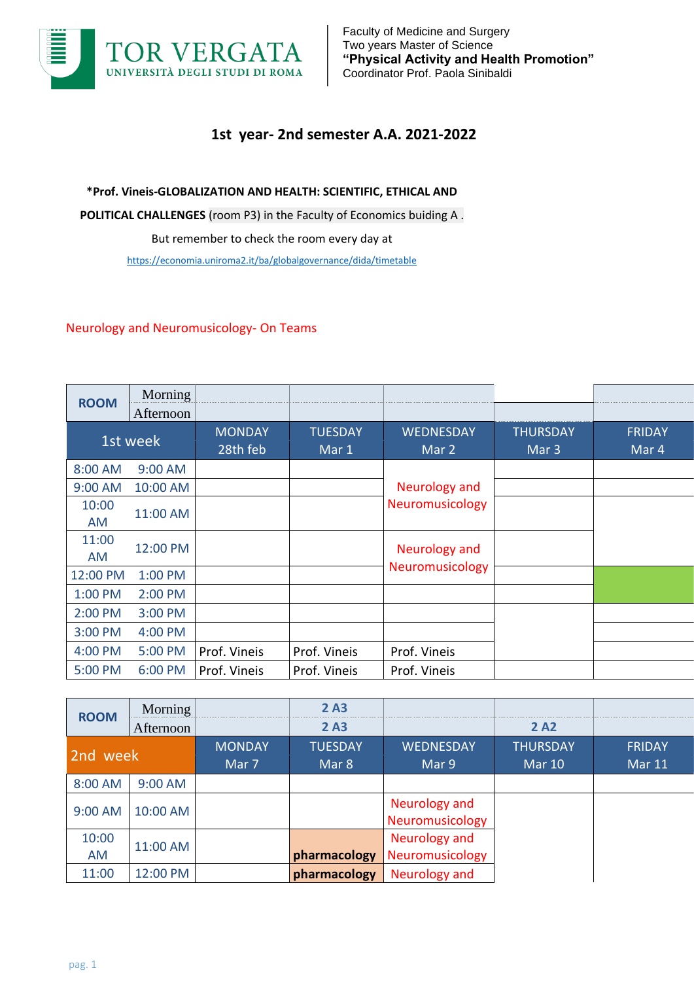

## **1st year- 2nd semester A.A. 2021-2022**

**\*Prof. Vineis-GLOBALIZATION AND HEALTH: SCIENTIFIC, ETHICAL AND POLITICAL CHALLENGES** (room P3) in the Faculty of Economics buiding A . But remember to check the room every day at <https://economia.uniroma2.it/ba/globalgovernance/dida/timetable>

## Neurology and Neuromusicology- On Teams

| <b>ROOM</b> | Morning<br>Afternoon |                           |                         |                           |                                     |                        |
|-------------|----------------------|---------------------------|-------------------------|---------------------------|-------------------------------------|------------------------|
| 1st week    |                      | <b>MONDAY</b><br>28th feb | <b>TUESDAY</b><br>Mar 1 | <b>WEDNESDAY</b><br>Mar 2 | <b>THURSDAY</b><br>Mar <sub>3</sub> | <b>FRIDAY</b><br>Mar 4 |
| 8:00 AM     | 9:00 AM              |                           |                         |                           |                                     |                        |
| 9:00 AM     | 10:00 AM             |                           |                         | <b>Neurology and</b>      |                                     |                        |
| 10:00<br>AM | 11:00 AM             |                           |                         | Neuromusicology           |                                     |                        |
| 11:00<br>AM | 12:00 PM             |                           |                         | <b>Neurology and</b>      |                                     |                        |
| 12:00 PM    | 1:00 PM              |                           |                         | Neuromusicology           |                                     |                        |
| 1:00 PM     | 2:00 PM              |                           |                         |                           |                                     |                        |
| 2:00 PM     | 3:00 PM              |                           |                         |                           |                                     |                        |
| 3:00 PM     | 4:00 PM              |                           |                         | Prof. Vineis              |                                     |                        |
| 4:00 PM     | 5:00 PM              | Prof. Vineis              | Prof. Vineis            |                           |                                     |                        |
| 5:00 PM     | 6:00 PM              | Prof. Vineis              | Prof. Vineis            | Prof. Vineis              |                                     |                        |

| <b>ROOM</b>        | <b>Morning</b><br>Afternoon |                        | 2A3<br>2A3              |                                  | 2 A2                             |                                |
|--------------------|-----------------------------|------------------------|-------------------------|----------------------------------|----------------------------------|--------------------------------|
| 2nd week           |                             | <b>MONDAY</b><br>Mar 7 | <b>TUESDAY</b><br>Mar 8 | <b>WEDNESDAY</b><br>Mar 9        | <b>THURSDAY</b><br><b>Mar 10</b> | <b>FRIDAY</b><br><b>Mar 11</b> |
| 8:00 AM            | 9:00 AM                     |                        |                         |                                  |                                  |                                |
| 9:00 AM            | 10:00 AM                    |                        |                         | Neurology and<br>Neuromusicology |                                  |                                |
| 10:00<br><b>AM</b> | 11:00 AM                    |                        | pharmacology            | Neurology and<br>Neuromusicology |                                  |                                |
| 11:00              | 12:00 PM                    |                        | pharmacology            | Neurology and                    |                                  |                                |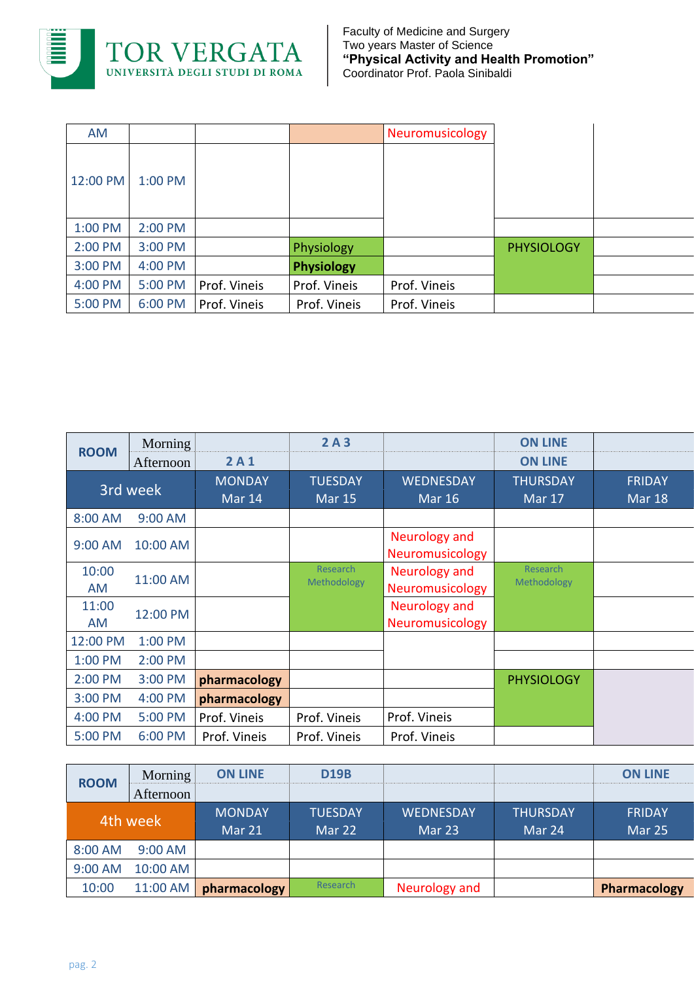

| AM       |           |              |                   | Neuromusicology |                   |  |
|----------|-----------|--------------|-------------------|-----------------|-------------------|--|
| 12:00 PM | $1:00$ PM |              |                   |                 |                   |  |
| 1:00 PM  | 2:00 PM   |              |                   |                 |                   |  |
| 2:00 PM  | 3:00 PM   |              | Physiology        |                 | <b>PHYSIOLOGY</b> |  |
| 3:00 PM  | 4:00 PM   |              | <b>Physiology</b> |                 |                   |  |
| 4:00 PM  | 5:00 PM   | Prof. Vineis | Prof. Vineis      | Prof. Vineis    |                   |  |
| 5:00 PM  | 6:00 PM   | Prof. Vineis | Prof. Vineis      | Prof. Vineis    |                   |  |

| <b>ROOM</b> | Morning   |                         | 2A3                             |                                         | <b>ON LINE</b>                   |                                |
|-------------|-----------|-------------------------|---------------------------------|-----------------------------------------|----------------------------------|--------------------------------|
|             | Afternoon | 2A1                     |                                 |                                         | <b>ON LINE</b>                   |                                |
| 3rd week    |           | <b>MONDAY</b><br>Mar 14 | <b>TUESDAY</b><br><b>Mar 15</b> | <b>WEDNESDAY</b><br><b>Mar 16</b>       | <b>THURSDAY</b><br><b>Mar 17</b> | <b>FRIDAY</b><br><b>Mar 18</b> |
| 8:00 AM     | 9:00 AM   |                         |                                 |                                         |                                  |                                |
| 9:00 AM     | 10:00 AM  |                         |                                 | Neurology and<br><b>Neuromusicology</b> |                                  |                                |
| 10:00<br>AM | 11:00 AM  |                         | <b>Research</b><br>Methodology  | Neurology and<br><b>Neuromusicology</b> | Research<br>Methodology          |                                |
| 11:00<br>AM | 12:00 PM  |                         |                                 | Neurology and<br>Neuromusicology        |                                  |                                |
| 12:00 PM    | 1:00 PM   |                         |                                 |                                         |                                  |                                |
| 1:00 PM     | 2:00 PM   |                         |                                 |                                         |                                  |                                |
| 2:00 PM     | 3:00 PM   | pharmacology            |                                 |                                         | <b>PHYSIOLOGY</b>                |                                |
| 3:00 PM     | 4:00 PM   | pharmacology            |                                 |                                         |                                  |                                |
| 4:00 PM     | 5:00 PM   | Prof. Vineis            | Prof. Vineis                    | Prof. Vineis                            |                                  |                                |
| 5:00 PM     | 6:00 PM   | Prof. Vineis            | Prof. Vineis                    | Prof. Vineis                            |                                  |                                |

| <b>ROOM</b> | Morning   | <b>ON LINE</b> | <b>D19B</b>    |                  |                 | <b>ON LINE</b> |
|-------------|-----------|----------------|----------------|------------------|-----------------|----------------|
|             | Afternoon |                |                |                  |                 |                |
| 4th week    |           | <b>MONDAY</b>  | <b>TUESDAY</b> | <b>WEDNESDAY</b> | <b>THURSDAY</b> | <b>FRIDAY</b>  |
|             |           | Mar 21         | Mar 22         | Mar 23           | Mar 24          | Mar 25         |
| 8:00 AM     | $9:00$ AM |                |                |                  |                 |                |
| 9:00 AM     | 10:00 AM  |                |                |                  |                 |                |
| 10:00       | 11:00 AM  | pharmacology   | Research       | Neurology and    |                 | Pharmacology   |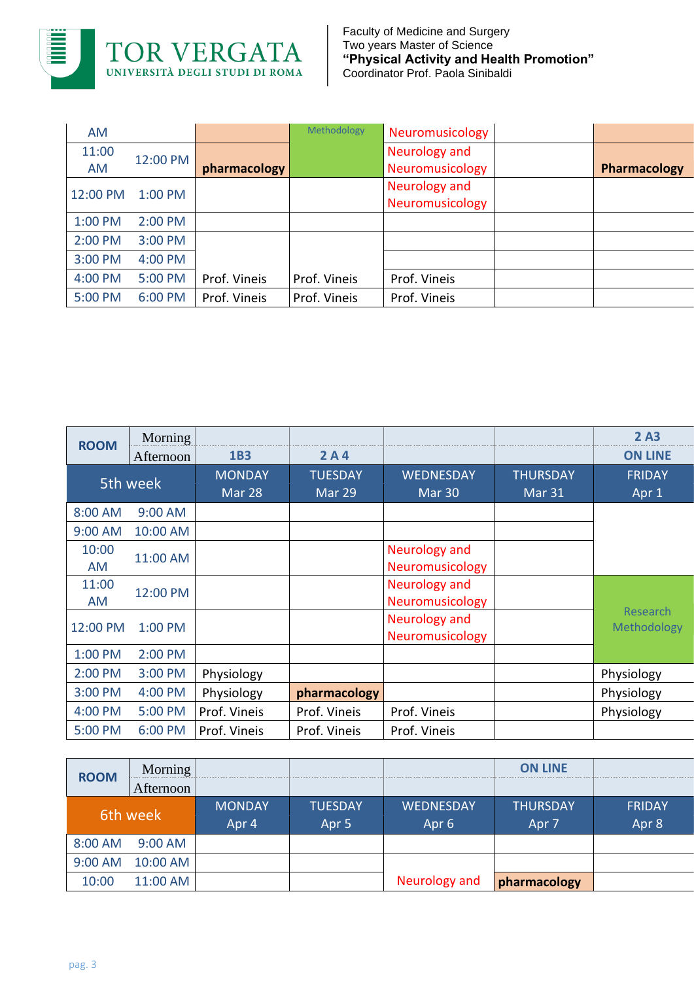

| AM       |           |              | Methodology  | Neuromusicology |              |
|----------|-----------|--------------|--------------|-----------------|--------------|
| 11:00    | 12:00 PM  |              |              | Neurology and   |              |
| AM       |           | pharmacology |              | Neuromusicology | Pharmacology |
| 12:00 PM |           |              |              | Neurology and   |              |
|          | $1:00$ PM |              |              | Neuromusicology |              |
| 1:00 PM  | 2:00 PM   |              |              |                 |              |
| 2:00 PM  | 3:00 PM   |              |              |                 |              |
| 3:00 PM  | 4:00 PM   |              |              |                 |              |
| 4:00 PM  | 5:00 PM   | Prof. Vineis | Prof. Vineis | Prof. Vineis    |              |
| 5:00 PM  | 6:00 PM   | Prof. Vineis | Prof. Vineis | Prof. Vineis    |              |

| <b>ROOM</b> | Morning<br>Afternoon | <b>1B3</b>              | 2A4                      |                                  |                           | 2A3<br><b>ON LINE</b>          |
|-------------|----------------------|-------------------------|--------------------------|----------------------------------|---------------------------|--------------------------------|
| 5th week    |                      | <b>MONDAY</b><br>Mar 28 | <b>TUESDAY</b><br>Mar 29 | <b>WEDNESDAY</b><br>Mar 30       | <b>THURSDAY</b><br>Mar 31 | <b>FRIDAY</b><br>Apr 1         |
| 8:00 AM     | 9:00 AM              |                         |                          |                                  |                           |                                |
| 9:00 AM     | 10:00 AM             |                         |                          |                                  |                           |                                |
| 10:00<br>AM | 11:00 AM             |                         |                          | Neurology and<br>Neuromusicology |                           |                                |
| 11:00<br>AM | 12:00 PM             |                         |                          | Neurology and<br>Neuromusicology |                           |                                |
| 12:00 PM    | 1:00 PM              |                         |                          | Neurology and<br>Neuromusicology |                           | <b>Research</b><br>Methodology |
| 1:00 PM     | 2:00 PM              |                         |                          |                                  |                           |                                |
| 2:00 PM     | 3:00 PM              | Physiology              |                          |                                  |                           | Physiology                     |
| 3:00 PM     | 4:00 PM              | Physiology              | pharmacology             |                                  |                           | Physiology                     |
| 4:00 PM     | 5:00 PM              | Prof. Vineis            | Prof. Vineis             | Prof. Vineis                     |                           | Physiology                     |
| 5:00 PM     | 6:00 PM              | Prof. Vineis            | Prof. Vineis             | Prof. Vineis                     |                           |                                |

| <b>ROOM</b> | Morning $ $ |               |                  |                  | <b>ON LINE</b>  |               |
|-------------|-------------|---------------|------------------|------------------|-----------------|---------------|
|             | Afternoon   |               |                  |                  |                 |               |
| 6th week    |             | <b>MONDAY</b> | <b>TUESDAY</b>   | <b>WEDNESDAY</b> | <b>THURSDAY</b> | <b>FRIDAY</b> |
|             |             | Apr 4         | Apr <sub>5</sub> | Apr <sub>6</sub> | Apr 7           | Apr 8         |
| 8:00 AM     | $9:00$ AM   |               |                  |                  |                 |               |
| 9:00 AM     | 10:00 AM    |               |                  |                  |                 |               |
| 10:00       | 11:00 AM    |               |                  | Neurology and    | pharmacology    |               |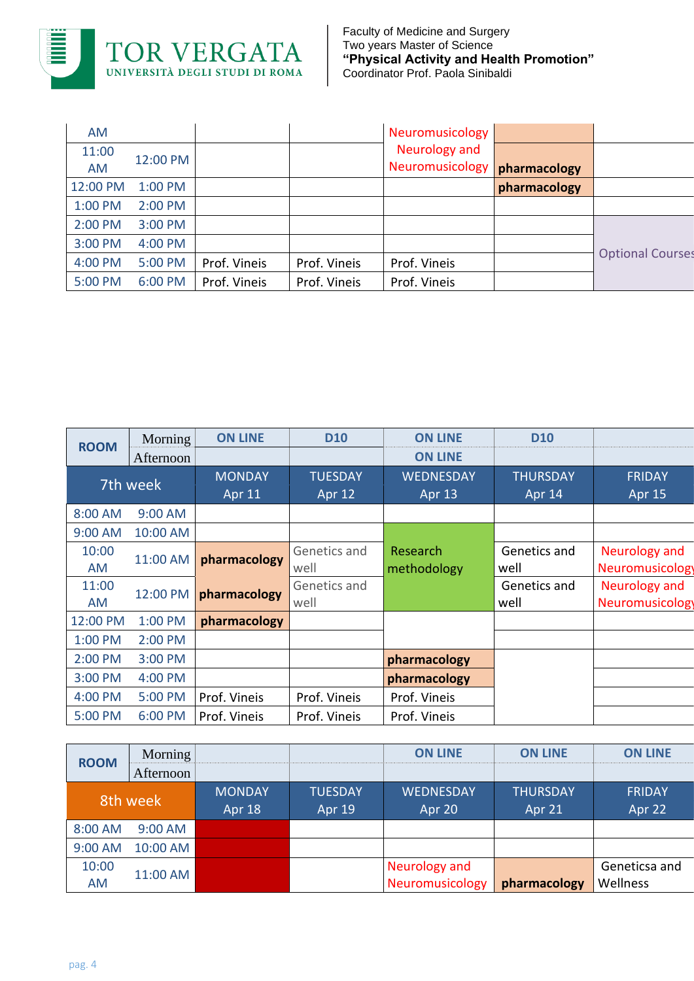

| AM       |           |              |              | Neuromusicology |              |                         |
|----------|-----------|--------------|--------------|-----------------|--------------|-------------------------|
| 11:00    | 12:00 PM  |              |              | Neurology and   |              |                         |
| AM       |           |              |              | Neuromusicology | pharmacology |                         |
| 12:00 PM | $1:00$ PM |              |              |                 | pharmacology |                         |
| 1:00 PM  | 2:00 PM   |              |              |                 |              |                         |
| 2:00 PM  | 3:00 PM   |              |              |                 |              |                         |
| 3:00 PM  | 4:00 PM   |              |              |                 |              |                         |
| 4:00 PM  | 5:00 PM   | Prof. Vineis | Prof. Vineis | Prof. Vineis    |              | <b>Optional Courses</b> |
| 5:00 PM  | 6:00 PM   | Prof. Vineis | Prof. Vineis | Prof. Vineis    |              |                         |

| <b>ROOM</b> | Morning   | <b>ON LINE</b>                 | <b>D10</b>               | <b>ON LINE</b>             | <b>D10</b>                |                                         |
|-------------|-----------|--------------------------------|--------------------------|----------------------------|---------------------------|-----------------------------------------|
|             | Afternoon |                                |                          | <b>ON LINE</b>             |                           |                                         |
| 7th week    |           | <b>MONDAY</b><br><b>Apr 11</b> | <b>TUESDAY</b><br>Apr 12 | <b>WEDNESDAY</b><br>Apr 13 | <b>THURSDAY</b><br>Apr 14 | <b>FRIDAY</b><br><b>Apr 15</b>          |
| 8:00 AM     | 9:00 AM   |                                |                          |                            |                           |                                         |
| 9:00 AM     | 10:00 AM  |                                |                          |                            |                           |                                         |
| 10:00<br>AM | 11:00 AM  | pharmacology                   | Genetics and<br>well     | Research<br>methodology    | Genetics and<br>well      | Neurology and<br><b>Neuromusicology</b> |
| 11:00<br>AM | 12:00 PM  | pharmacology                   | Genetics and<br>well     |                            | Genetics and<br>well      | Neurology and<br><b>Neuromusicology</b> |
| 12:00 PM    | 1:00 PM   | pharmacology                   |                          |                            |                           |                                         |
| 1:00 PM     | 2:00 PM   |                                |                          |                            |                           |                                         |
| 2:00 PM     | 3:00 PM   |                                |                          | pharmacology               |                           |                                         |
| 3:00 PM     | 4:00 PM   |                                |                          | pharmacology               |                           |                                         |
| 4:00 PM     | 5:00 PM   | Prof. Vineis                   | Prof. Vineis             | Prof. Vineis               |                           |                                         |
| 5:00 PM     | 6:00 PM   | Prof. Vineis                   | Prof. Vineis             | Prof. Vineis               |                           |                                         |

| <b>ROOM</b> | Morning   |               |                | <b>ON LINE</b>   | <b>ON LINE</b>  | <b>ON LINE</b> |
|-------------|-----------|---------------|----------------|------------------|-----------------|----------------|
|             | Afternoon |               |                |                  |                 |                |
| 8th week    |           | <b>MONDAY</b> | <b>TUESDAY</b> | <b>WEDNESDAY</b> | <b>THURSDAY</b> | <b>FRIDAY</b>  |
|             |           | Apr 18        | Apr 19         | Apr 20           | Apr 21          | Apr 22         |
| 8:00 AM     | 9:00 AM   |               |                |                  |                 |                |
| 9:00 AM     | 10:00 AM  |               |                |                  |                 |                |
| 10:00       |           |               | Neurology and  |                  | Geneticsa and   |                |
| <b>AM</b>   | 11:00 AM  |               |                | Neuromusicology  | pharmacology    | Wellness       |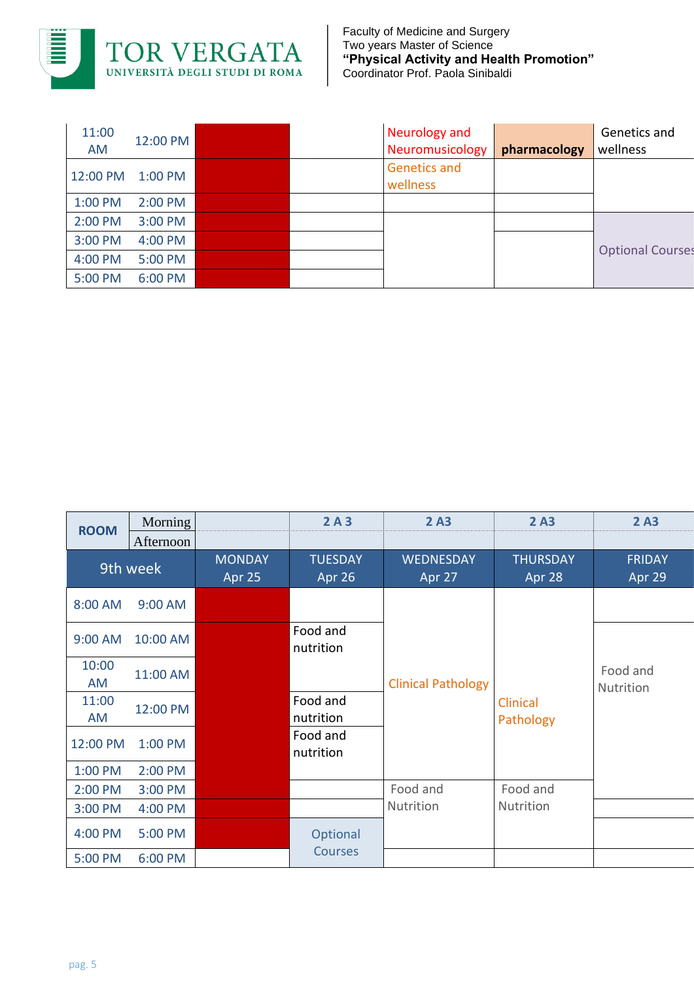

| 11:00<br><b>AM</b> | 12:00 PM  |  | Neurology and<br>Neuromusicology | pharmacology | Genetics and<br>wellness |
|--------------------|-----------|--|----------------------------------|--------------|--------------------------|
| 12:00 PM           | $1:00$ PM |  | <b>Genetics and</b><br>wellness  |              |                          |
| 1:00 PM            | $2:00$ PM |  |                                  |              |                          |
| 2:00 PM            | $3:00$ PM |  |                                  |              |                          |
| 3:00 PM            | 4:00 PM   |  |                                  |              | <b>Optional Courses</b>  |
| 4:00 PM            | 5:00 PM   |  |                                  |              |                          |
| 5:00 PM            | 6:00 PM   |  |                                  |              |                          |

| <b>ROOM</b> | Morning   |                         | 2A3                      | 2A3                        | 2A3                       | 2A3                     |
|-------------|-----------|-------------------------|--------------------------|----------------------------|---------------------------|-------------------------|
|             | Afternoon |                         |                          |                            |                           |                         |
|             | 9th week  | <b>MONDAY</b><br>Apr 25 | <b>TUESDAY</b><br>Apr 26 | <b>WEDNESDAY</b><br>Apr 27 | <b>THURSDAY</b><br>Apr 28 | <b>FRIDAY</b><br>Apr 29 |
| 8:00 AM     | 9:00 AM   |                         |                          |                            |                           |                         |
| 9:00 AM     | 10:00 AM  |                         | Food and<br>nutrition    |                            |                           |                         |
| 10:00<br>AM | 11:00 AM  |                         |                          | <b>Clinical Pathology</b>  |                           | Food and<br>Nutrition   |
| 11:00<br>AM | 12:00 PM  |                         | Food and<br>nutrition    |                            | Clinical<br>Pathology     |                         |
| 12:00 PM    | 1:00 PM   |                         | Food and<br>nutrition    |                            |                           |                         |
| 1:00 PM     | 2:00 PM   |                         |                          |                            |                           |                         |
| 2:00 PM     | 3:00 PM   |                         |                          | Food and                   | Food and                  |                         |
| 3:00 PM     | 4:00 PM   |                         |                          | Nutrition                  | Nutrition                 |                         |
| 4:00 PM     | 5:00 PM   |                         | Optional                 |                            |                           |                         |
| 5:00 PM     | 6:00 PM   |                         | <b>Courses</b>           |                            |                           |                         |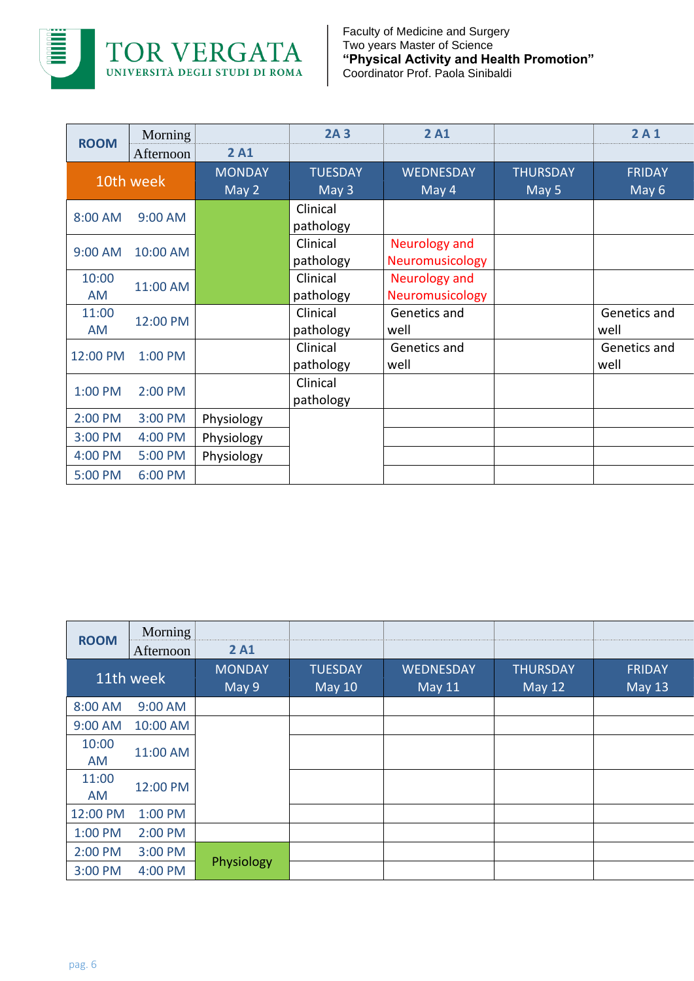

| <b>ROOM</b> | Morning   |               | 2A <sub>3</sub> | 2A1                  |                 | 2A1           |
|-------------|-----------|---------------|-----------------|----------------------|-----------------|---------------|
|             | Afternoon | 2A1           |                 |                      |                 |               |
|             | 10th week | <b>MONDAY</b> | <b>TUESDAY</b>  | <b>WEDNESDAY</b>     | <b>THURSDAY</b> | <b>FRIDAY</b> |
|             |           | May 2         | May 3           | May 4                | May 5           | May 6         |
| 8:00 AM     | 9:00 AM   |               | Clinical        |                      |                 |               |
|             |           |               | pathology       |                      |                 |               |
| 9:00 AM     | 10:00 AM  |               | Clinical        | <b>Neurology and</b> |                 |               |
|             |           |               | pathology       | Neuromusicology      |                 |               |
| 10:00       | 11:00 AM  |               | Clinical        | Neurology and        |                 |               |
| AM          |           |               | pathology       | Neuromusicology      |                 |               |
| 11:00       | 12:00 PM  |               | Clinical        | Genetics and         |                 | Genetics and  |
| AM          |           |               | pathology       | well                 |                 | well          |
| 12:00 PM    | 1:00 PM   |               | Clinical        | Genetics and         |                 | Genetics and  |
|             |           |               | pathology       | well                 |                 | well          |
| 1:00 PM     | 2:00 PM   |               | Clinical        |                      |                 |               |
|             |           |               | pathology       |                      |                 |               |
| 2:00 PM     | 3:00 PM   | Physiology    |                 |                      |                 |               |
| 3:00 PM     | 4:00 PM   | Physiology    |                 |                      |                 |               |
| 4:00 PM     | 5:00 PM   | Physiology    |                 |                      |                 |               |
| 5:00 PM     | 6:00 PM   |               |                 |                      |                 |               |

| <b>ROOM</b> | Morning   |                        |                                 |                                   |                                  |                                |
|-------------|-----------|------------------------|---------------------------------|-----------------------------------|----------------------------------|--------------------------------|
|             | Afternoon | 2A1                    |                                 |                                   |                                  |                                |
|             | 11th week | <b>MONDAY</b><br>May 9 | <b>TUESDAY</b><br><b>May 10</b> | <b>WEDNESDAY</b><br><b>May 11</b> | <b>THURSDAY</b><br><b>May 12</b> | <b>FRIDAY</b><br><b>May 13</b> |
| 8:00 AM     | 9:00 AM   |                        |                                 |                                   |                                  |                                |
| 9:00 AM     | 10:00 AM  |                        |                                 |                                   |                                  |                                |
| 10:00<br>AM | 11:00 AM  |                        |                                 |                                   |                                  |                                |
| 11:00<br>AM | 12:00 PM  |                        |                                 |                                   |                                  |                                |
| 12:00 PM    | 1:00 PM   |                        |                                 |                                   |                                  |                                |
| 1:00 PM     | 2:00 PM   |                        |                                 |                                   |                                  |                                |
| 2:00 PM     | 3:00 PM   |                        |                                 |                                   |                                  |                                |
| 3:00 PM     | 4:00 PM   | Physiology             |                                 |                                   |                                  |                                |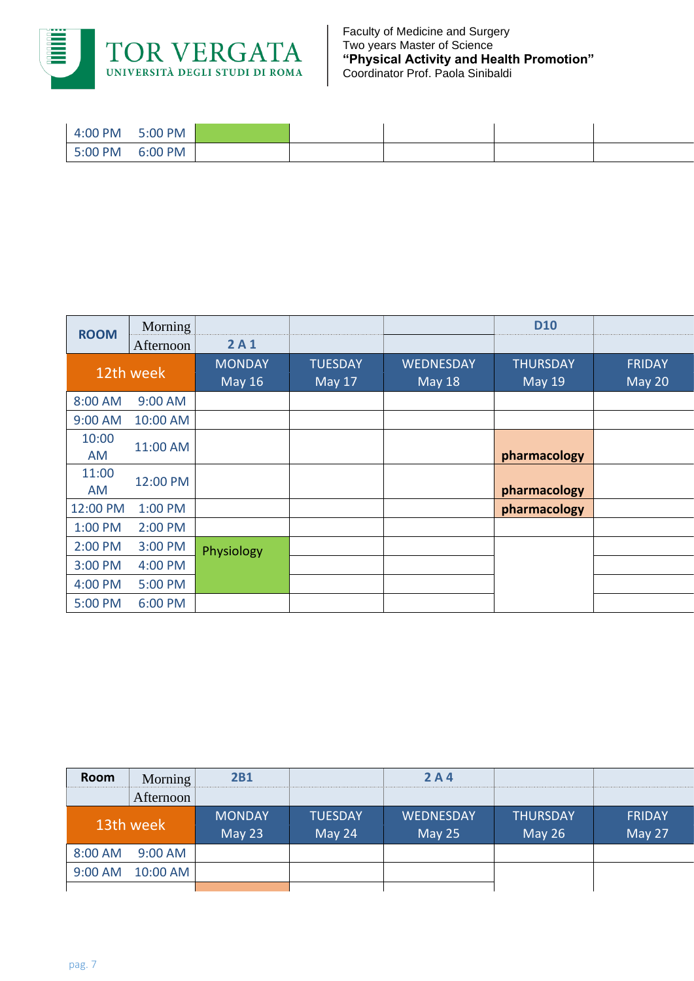

| 4:00 PM | 5:00 PM |  |  |  |
|---------|---------|--|--|--|
| 5:00 PM | 6:00 PM |  |  |  |

| <b>ROOM</b> | Morning   |                                |                          |                                   | <b>D10</b>                       |                         |
|-------------|-----------|--------------------------------|--------------------------|-----------------------------------|----------------------------------|-------------------------|
|             | Afternoon | 2A1                            |                          |                                   |                                  |                         |
| 12th week   |           | <b>MONDAY</b><br><b>May 16</b> | <b>TUESDAY</b><br>May 17 | <b>WEDNESDAY</b><br><b>May 18</b> | <b>THURSDAY</b><br><b>May 19</b> | <b>FRIDAY</b><br>May 20 |
|             |           |                                |                          |                                   |                                  |                         |
| 8:00 AM     | $9:00$ AM |                                |                          |                                   |                                  |                         |
| 9:00 AM     | 10:00 AM  |                                |                          |                                   |                                  |                         |
| 10:00       |           |                                |                          |                                   |                                  |                         |
| AM          | 11:00 AM  |                                |                          |                                   | pharmacology                     |                         |
| 11:00       |           |                                |                          |                                   |                                  |                         |
| AM          | 12:00 PM  |                                |                          |                                   | pharmacology                     |                         |
| 12:00 PM    | 1:00 PM   |                                |                          |                                   | pharmacology                     |                         |
| 1:00 PM     | 2:00 PM   |                                |                          |                                   |                                  |                         |
| 2:00 PM     | 3:00 PM   | Physiology                     |                          |                                   |                                  |                         |
| 3:00 PM     | 4:00 PM   |                                |                          |                                   |                                  |                         |
| 4:00 PM     | 5:00 PM   |                                |                          |                                   |                                  |                         |
| 5:00 PM     | 6:00 PM   |                                |                          |                                   |                                  |                         |

| Room      | Morning    | <b>2B1</b>                |                          | 2A4                        |                                  |                         |
|-----------|------------|---------------------------|--------------------------|----------------------------|----------------------------------|-------------------------|
|           | Afternoon  |                           |                          |                            |                                  |                         |
| 13th week |            | <b>MONDAY</b><br>May $23$ | <b>TUESDAY</b><br>May 24 | <b>WEDNESDAY</b><br>May 25 | <b>THURSDAY</b><br><b>May 26</b> | <b>FRIDAY</b><br>May 27 |
| 8:00 AM   | $9:00$ AM  |                           |                          |                            |                                  |                         |
| 9:00 AM   | $10:00$ AM |                           |                          |                            |                                  |                         |
|           |            |                           |                          |                            |                                  |                         |